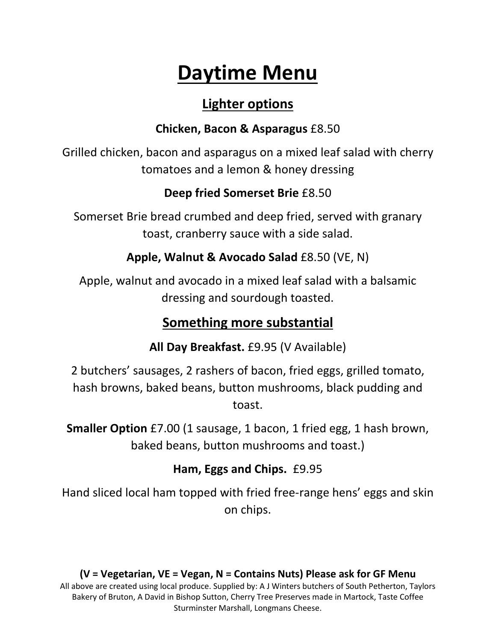# **Daytime Menu**

# **Lighter options**

### **Chicken, Bacon & Asparagus** £8.50

Grilled chicken, bacon and asparagus on a mixed leaf salad with cherry tomatoes and a lemon & honey dressing

### **Deep fried Somerset Brie** £8.50

Somerset Brie bread crumbed and deep fried, served with granary toast, cranberry sauce with a side salad.

**Apple, Walnut & Avocado Salad** £8.50 (VE, N)

Apple, walnut and avocado in a mixed leaf salad with a balsamic dressing and sourdough toasted.

# **Something more substantial**

**All Day Breakfast.** £9.95 (V Available)

2 butchers' sausages, 2 rashers of bacon, fried eggs, grilled tomato, hash browns, baked beans, button mushrooms, black pudding and toast.

**Smaller Option** £7.00 (1 sausage, 1 bacon, 1 fried egg, 1 hash brown, baked beans, button mushrooms and toast.)

# **Ham, Eggs and Chips.** £9.95

Hand sliced local ham topped with fried free-range hens' eggs and skin on chips.

#### **(V = Vegetarian, VE = Vegan, N = Contains Nuts) Please ask for GF Menu** All above are created using local produce. Supplied by: A J Winters butchers of South Petherton, Taylors Bakery of Bruton, A David in Bishop Sutton, Cherry Tree Preserves made in Martock, Taste Coffee Sturminster Marshall, Longmans Cheese.